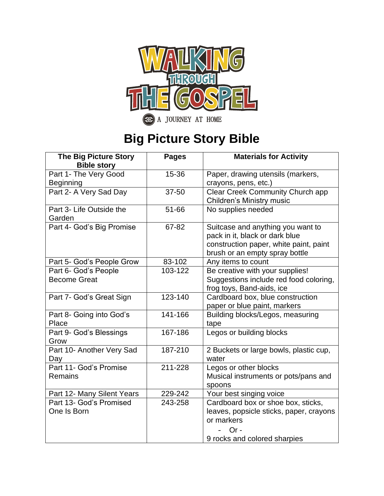

**ac** A JOURNEY AT HOME

## **Big Picture Story Bible**

| <b>The Big Picture Story</b> | <b>Pages</b> | <b>Materials for Activity</b>                                        |
|------------------------------|--------------|----------------------------------------------------------------------|
| <b>Bible story</b>           |              |                                                                      |
| Part 1- The Very Good        | 15-36        | Paper, drawing utensils (markers,                                    |
| <b>Beginning</b>             |              | crayons, pens, etc.)                                                 |
| Part 2- A Very Sad Day       | 37-50        | Clear Creek Community Church app<br><b>Children's Ministry music</b> |
| Part 3- Life Outside the     | 51-66        | No supplies needed                                                   |
| Garden                       |              |                                                                      |
| Part 4- God's Big Promise    | 67-82        | Suitcase and anything you want to                                    |
|                              |              | pack in it, black or dark blue                                       |
|                              |              | construction paper, white paint, paint                               |
|                              |              | brush or an empty spray bottle                                       |
| Part 5- God's People Grow    | 83-102       | Any items to count                                                   |
| Part 6- God's People         | 103-122      | Be creative with your supplies!                                      |
| <b>Become Great</b>          |              | Suggestions include red food coloring,                               |
|                              |              | frog toys, Band-aids, ice                                            |
| Part 7- God's Great Sign     | 123-140      | Cardboard box, blue construction                                     |
|                              |              | paper or blue paint, markers                                         |
| Part 8- Going into God's     | 141-166      | Building blocks/Legos, measuring                                     |
| Place                        |              | tape                                                                 |
| Part 9- God's Blessings      | 167-186      | Legos or building blocks                                             |
| Grow                         |              |                                                                      |
| Part 10- Another Very Sad    | 187-210      | 2 Buckets or large bowls, plastic cup,                               |
| Day                          |              | water                                                                |
| Part 11- God's Promise       | 211-228      | Legos or other blocks                                                |
| <b>Remains</b>               |              | Musical instruments or pots/pans and                                 |
|                              |              | spoons                                                               |
| Part 12- Many Silent Years   | 229-242      | Your best singing voice                                              |
| Part 13- God's Promised      | 243-258      | Cardboard box or shoe box, sticks,                                   |
| One Is Born                  |              | leaves, popsicle sticks, paper, crayons                              |
|                              |              | or markers                                                           |
|                              |              | $Or -$                                                               |
|                              |              | 9 rocks and colored sharpies                                         |